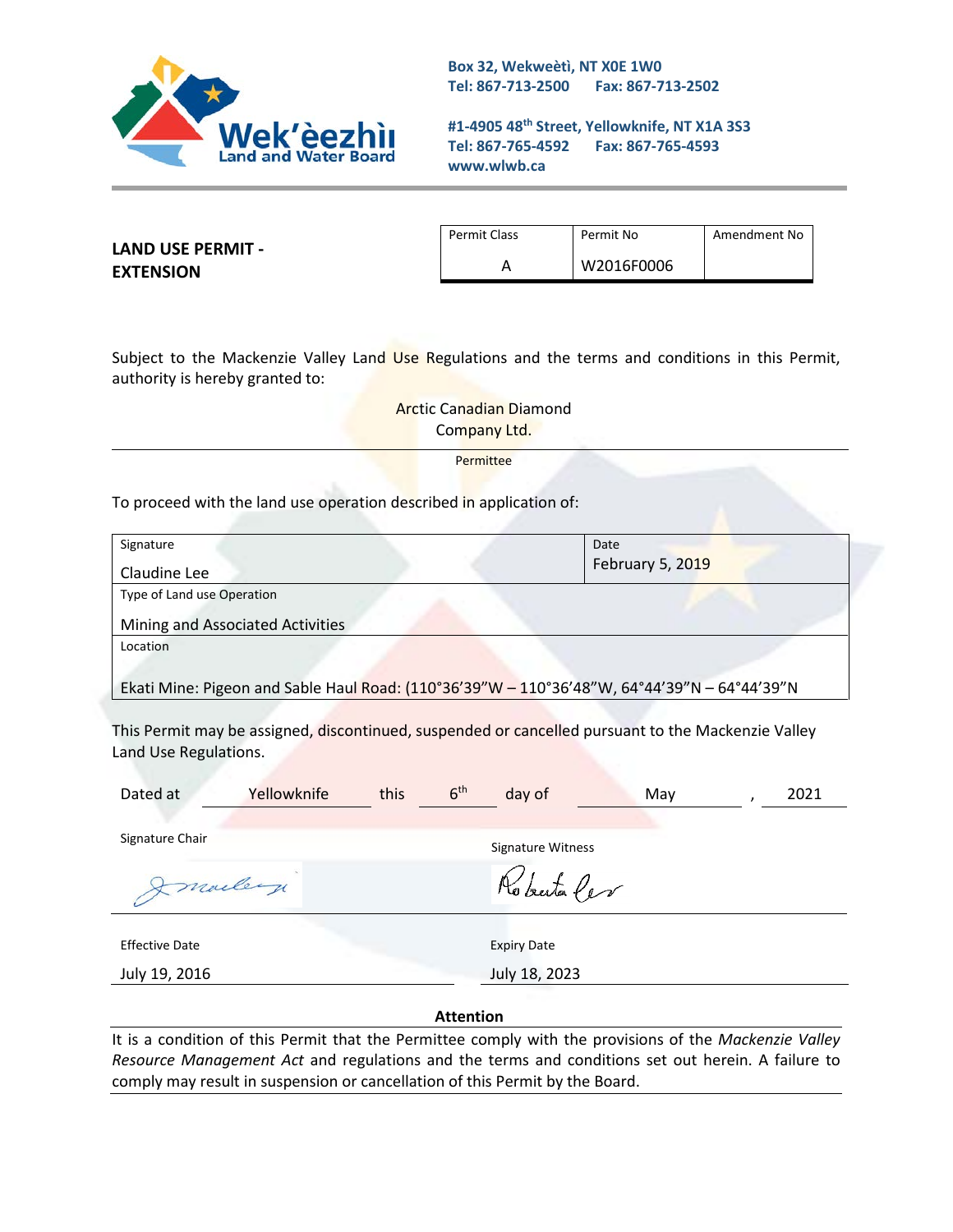

**Box 32, Wekweètì, NT X0E 1W0 Tel: 867-713-2500 Fax: 867-713-2502** 

**#1-4905 48th Street, Yellowknife, NT X1A 3S3 Tel: 867-765-4592 Fax: 867-765-4593 www.wlwb.ca**

**LAND USE PERMIT - EXTENSION**

Permit Class Permit No Remember 1 Amendment No A W2016F0006

Subject to the Mackenzie Valley Land Use Regulations and the terms and conditions in this Permit, authority is hereby granted to:

> Arctic Canadian Diamond Company Ltd.

> > Permittee

To proceed with the land use operation described in application of:

| Signature                                                                                   | Date                    |
|---------------------------------------------------------------------------------------------|-------------------------|
| Claudine Lee                                                                                | <b>February 5, 2019</b> |
| Type of Land use Operation                                                                  |                         |
| Mining and Associated Activities                                                            |                         |
| Location                                                                                    |                         |
|                                                                                             |                         |
| Ekati Mine: Pigeon and Sable Haul Road: (110°36'39"W - 110°36'48"W, 64°44'39"N - 64°44'39"N |                         |

This Permit may be assigned, discontinued, suspended or cancelled pursuant to the Mackenzie Valley Land Use Regulations.

| Dated at              | Yellowknife | this | 6 <sup>th</sup> | day of             | May |  | 2021 |
|-----------------------|-------------|------|-----------------|--------------------|-----|--|------|
| Signature Chair       |             |      |                 | Signature Witness  |     |  |      |
| Imailey               |             |      |                 | Roberta Per        |     |  |      |
| <b>Effective Date</b> |             |      |                 | <b>Expiry Date</b> |     |  |      |
| July 19, 2016         |             |      | July 18, 2023   |                    |     |  |      |

#### **Attention**

It is a condition of this Permit that the Permittee comply with the provisions of the *Mackenzie Valley Resource Management Act* and regulations and the terms and conditions set out herein. A failure to comply may result in suspension or cancellation of this Permit by the Board.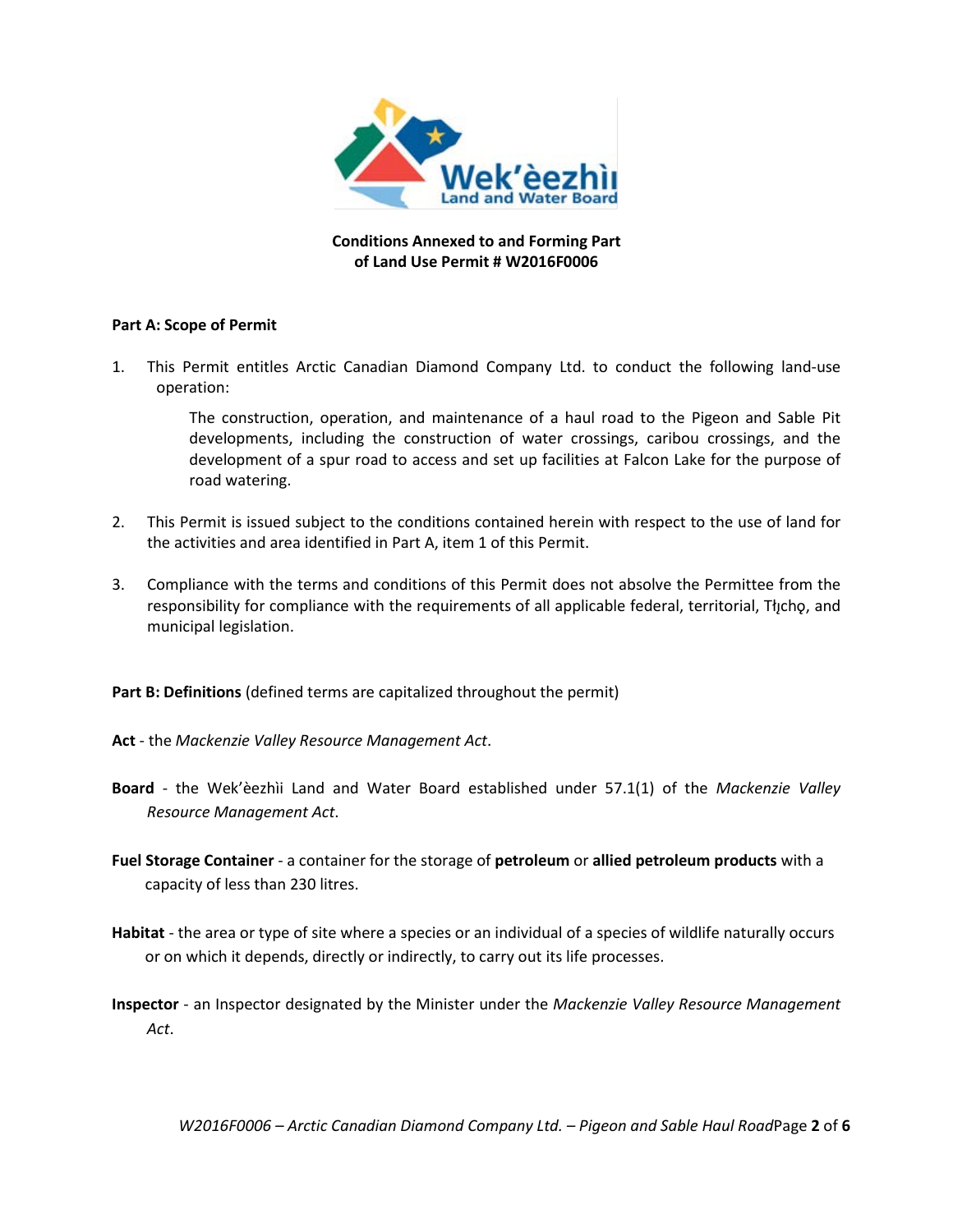

**Conditions Annexed to and Forming Part of Land Use Permit # W2016F0006**

### **Part A: Scope of Permit**

1. This Permit entitles Arctic Canadian Diamond Company Ltd. to conduct the following land-use operation:

> The construction, operation, and maintenance of a haul road to the Pigeon and Sable Pit developments, including the construction of water crossings, caribou crossings, and the development of a spur road to access and set up facilities at Falcon Lake for the purpose of road watering.

- 2. This Permit is issued subject to the conditions contained herein with respect to the use of land for the activities and area identified in Part A, item 1 of this Permit.
- 3. Compliance with the terms and conditions of this Permit does not absolve the Permittee from the responsibility for compliance with the requirements of all applicable federal, territorial, Tłıcho, and municipal legislation.

**Part B: Definitions** (defined terms are capitalized throughout the permit)

- **Act** the *Mackenzie Valley Resource Management Act*.
- **Board** the Wek'èezhìi Land and Water Board established under 57.1(1) of the *Mackenzie Valley Resource Management Act*.
- **Fuel Storage Container** a container for the storage of **petroleum** or **allied petroleum products** with a capacity of less than 230 litres.
- **Habitat** the area or type of site where a species or an individual of a species of wildlife naturally occurs or on which it depends, directly or indirectly, to carry out its life processes.
- **Inspector**  an Inspector designated by the Minister under the *Mackenzie Valley Resource Management Act*.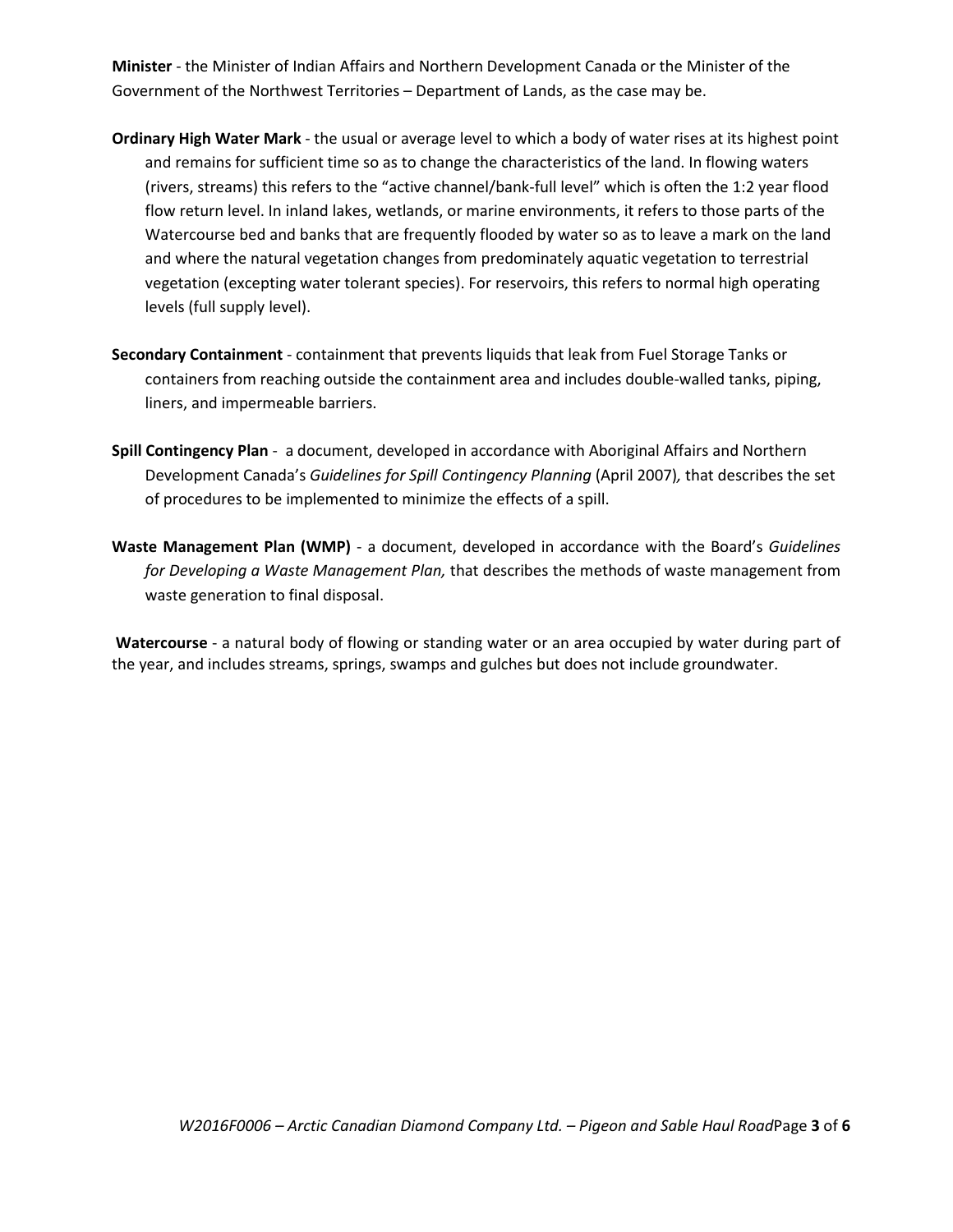**Minister** - the Minister of Indian Affairs and Northern Development Canada or the Minister of the Government of the Northwest Territories – Department of Lands, as the case may be.

- **Ordinary High Water Mark** the usual or average level to which a body of water rises at its highest point and remains for sufficient time so as to change the characteristics of the land. In flowing waters (rivers, streams) this refers to the "active channel/bank-full level" which is often the 1:2 year flood flow return level. In inland lakes, wetlands, or marine environments, it refers to those parts of the Watercourse bed and banks that are frequently flooded by water so as to leave a mark on the land and where the natural vegetation changes from predominately aquatic vegetation to terrestrial vegetation (excepting water tolerant species). For reservoirs, this refers to normal high operating levels (full supply level).
- **Secondary Containment** containment that prevents liquids that leak from Fuel Storage Tanks or containers from reaching outside the containment area and includes double-walled tanks, piping, liners, and impermeable barriers.
- **Spill Contingency Plan** a document, developed in accordance with Aboriginal Affairs and Northern Development Canada's *Guidelines for Spill Contingency Planning* (April 2007)*,* that describes the set of procedures to be implemented to minimize the effects of a spill.
- **Waste Management Plan (WMP)** a document, developed in accordance with the Board's *Guidelines for Developing a Waste Management Plan,* that describes the methods of waste management from waste generation to final disposal.

**Watercourse** - a natural body of flowing or standing water or an area occupied by water during part of the year, and includes streams, springs, swamps and gulches but does not include groundwater.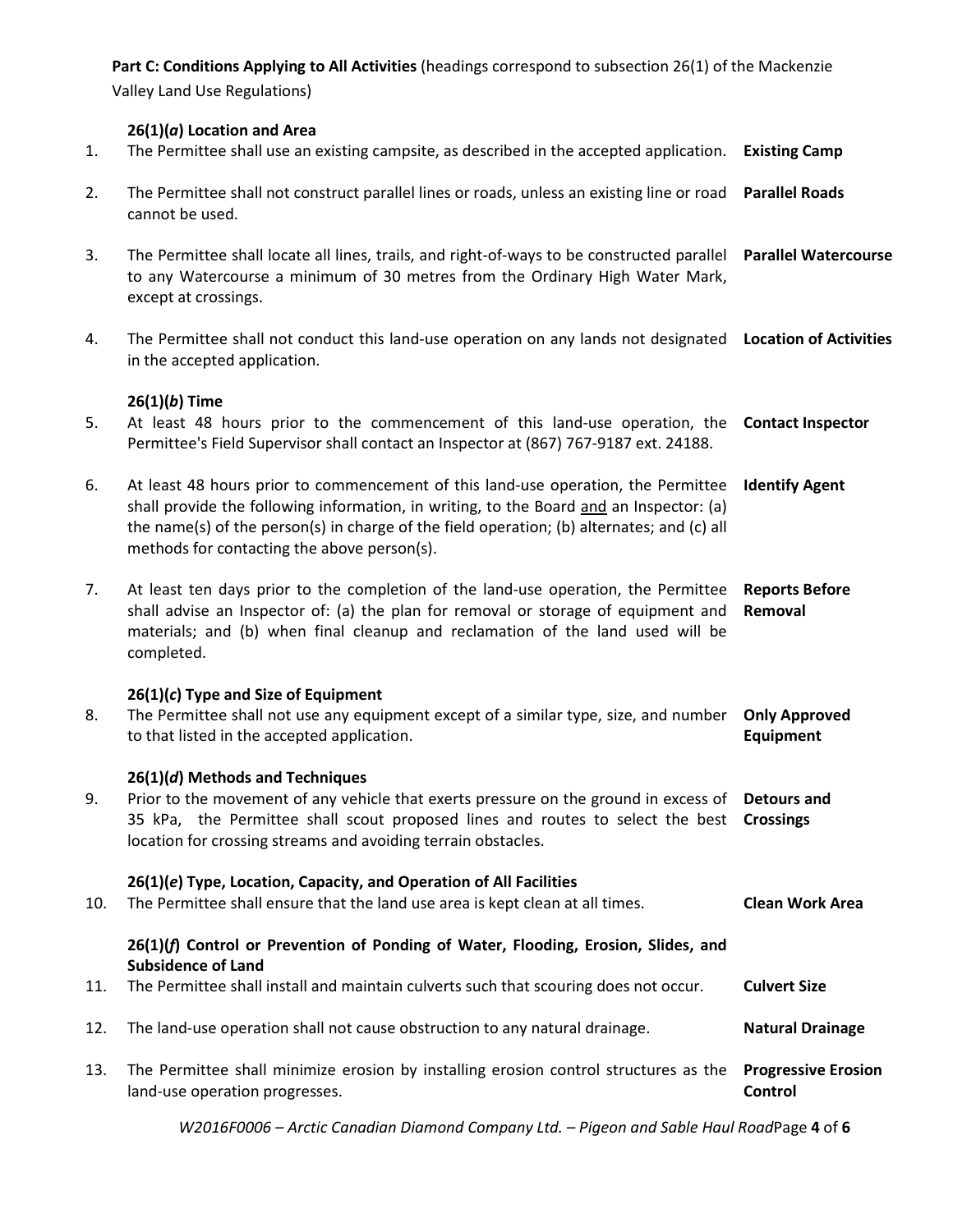**Part C: Conditions Applying to All Activities** (headings correspond to subsection 26(1) of the Mackenzie

Valley Land Use Regulations)

### **26(1)(***a***) Location and Area**

- 1. The Permittee shall use an existing campsite, as described in the accepted application. **Existing Camp**
- 2. The Permittee shall not construct parallel lines or roads, unless an existing line or road **Parallel Roads** cannot be used.
- 3. The Permittee shall locate all lines, trails, and right-of-ways to be constructed parallel **Parallel Watercourse** to any Watercourse a minimum of 30 metres from the Ordinary High Water Mark, except at crossings.
- 4. The Permittee shall not conduct this land-use operation on any lands not designated **Location of Activities** in the accepted application.

## **26(1)(***b***) Time**

- 5. At least 48 hours prior to the commencement of this land-use operation, the **Contact Inspector** Permittee's Field Supervisor shall contact an Inspector at (867) 767-9187 ext. 24188.
- 6. At least 48 hours prior to commencement of this land-use operation, the Permittee **Identify Agent** shall provide the following information, in writing, to the Board and an Inspector: (a) the name(s) of the person(s) in charge of the field operation; (b) alternates; and (c) all methods for contacting the above person(s).
- 7. At least ten days prior to the completion of the land-use operation, the Permittee **Reports Before**  shall advise an Inspector of: (a) the plan for removal or storage of equipment and **Removal** materials; and (b) when final cleanup and reclamation of the land used will be completed.

### **26(1)(***c***) Type and Size of Equipment**

8. The Permittee shall not use any equipment except of a similar type, size, and number **Only Approved**  to that listed in the accepted application. **Equipment**

### **26(1)(***d***) Methods and Techniques**

9. Prior to the movement of any vehicle that exerts pressure on the ground in excess of **Detours and**  35 kPa, the Permittee shall scout proposed lines and routes to select the best **Crossings** location for crossing streams and avoiding terrain obstacles.

### **26(1)(***e***) Type, Location, Capacity, and Operation of All Facilities**

10. The Permittee shall ensure that the land use area is kept clean at all times. **Clean Work Area**

## **26(1)(***f***) Control or Prevention of Ponding of Water, Flooding, Erosion, Slides, and Subsidence of Land**

- 11. The Permittee shall install and maintain culverts such that scouring does not occur. **Culvert Size**
- 12. The land-use operation shall not cause obstruction to any natural drainage. **Natural Drainage**
- 13. The Permittee shall minimize erosion by installing erosion control structures as the **Progressive Erosion**  land-use operation progresses. **Control**

*W2016F0006 – Arctic Canadian Diamond Company Ltd. – Pigeon and Sable Haul Road*Page **4** of **6**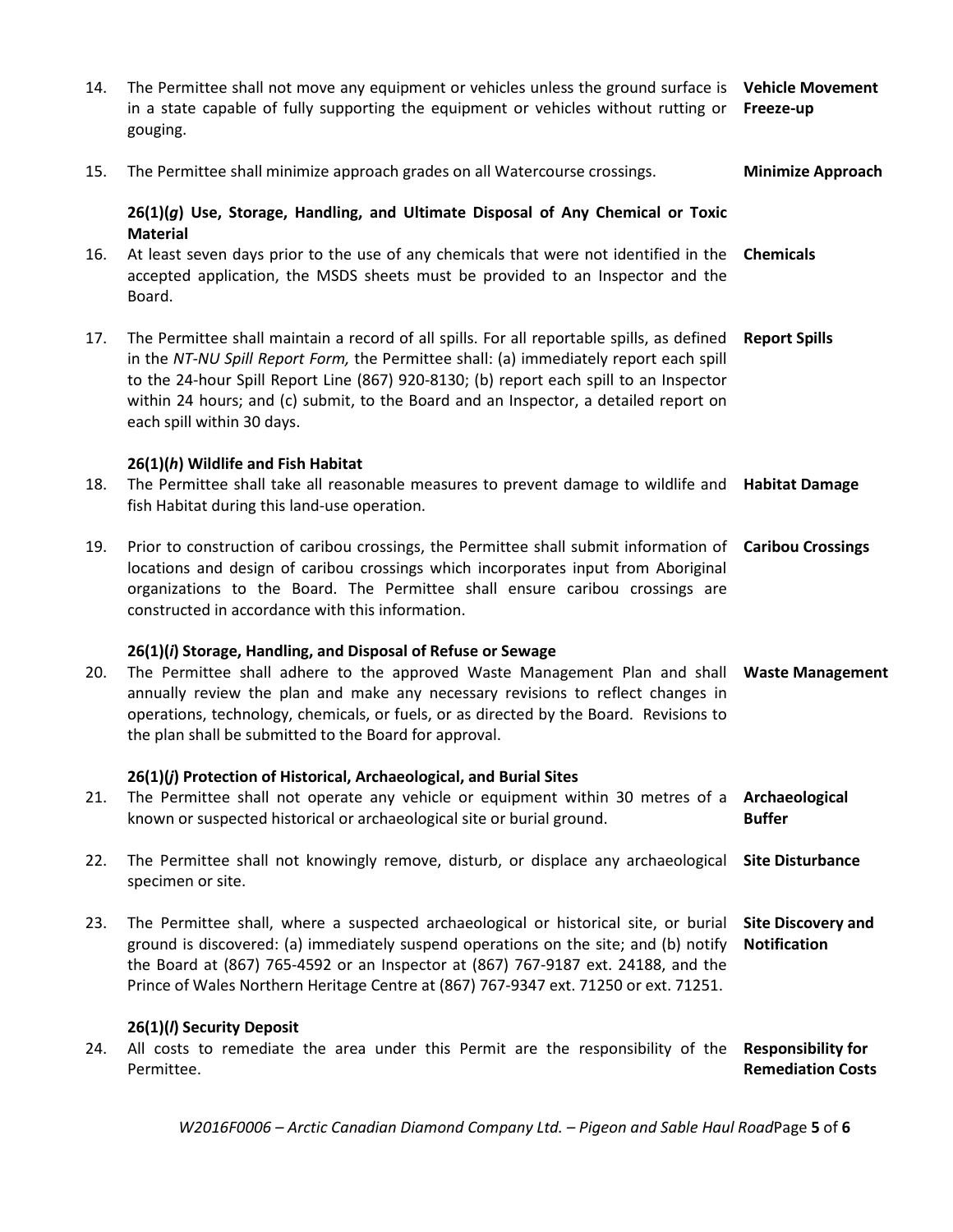| 14. | The Permittee shall not move any equipment or vehicles unless the ground surface is<br>in a state capable of fully supporting the equipment or vehicles without rutting or<br>gouging.                                                                                                                                                                                                               | <b>Vehicle Movement</b><br>Freeze-up                  |
|-----|------------------------------------------------------------------------------------------------------------------------------------------------------------------------------------------------------------------------------------------------------------------------------------------------------------------------------------------------------------------------------------------------------|-------------------------------------------------------|
| 15. | The Permittee shall minimize approach grades on all Watercourse crossings.                                                                                                                                                                                                                                                                                                                           | <b>Minimize Approach</b>                              |
|     | 26(1)(g) Use, Storage, Handling, and Ultimate Disposal of Any Chemical or Toxic<br><b>Material</b>                                                                                                                                                                                                                                                                                                   |                                                       |
| 16. | At least seven days prior to the use of any chemicals that were not identified in the<br>accepted application, the MSDS sheets must be provided to an Inspector and the<br>Board.                                                                                                                                                                                                                    | <b>Chemicals</b>                                      |
| 17. | The Permittee shall maintain a record of all spills. For all reportable spills, as defined<br>in the NT-NU Spill Report Form, the Permittee shall: (a) immediately report each spill<br>to the 24-hour Spill Report Line (867) 920-8130; (b) report each spill to an Inspector<br>within 24 hours; and (c) submit, to the Board and an Inspector, a detailed report on<br>each spill within 30 days. | <b>Report Spills</b>                                  |
|     | 26(1)(h) Wildlife and Fish Habitat                                                                                                                                                                                                                                                                                                                                                                   |                                                       |
| 18. | The Permittee shall take all reasonable measures to prevent damage to wildlife and <b>Habitat Damage</b><br>fish Habitat during this land-use operation.                                                                                                                                                                                                                                             |                                                       |
| 19. | Prior to construction of caribou crossings, the Permittee shall submit information of Caribou Crossings<br>locations and design of caribou crossings which incorporates input from Aboriginal<br>organizations to the Board. The Permittee shall ensure caribou crossings are<br>constructed in accordance with this information.                                                                    |                                                       |
| 20. | 26(1)(i) Storage, Handling, and Disposal of Refuse or Sewage<br>The Permittee shall adhere to the approved Waste Management Plan and shall Waste Management<br>annually review the plan and make any necessary revisions to reflect changes in<br>operations, technology, chemicals, or fuels, or as directed by the Board. Revisions to<br>the plan shall be submitted to the Board for approval.   |                                                       |
| 21. | 26(1)(j) Protection of Historical, Archaeological, and Burial Sites<br>The Permittee shall not operate any vehicle or equipment within 30 metres of a<br>known or suspected historical or archaeological site or burial ground.                                                                                                                                                                      | Archaeological<br><b>Buffer</b>                       |
| 22. | The Permittee shall not knowingly remove, disturb, or displace any archaeological<br>specimen or site.                                                                                                                                                                                                                                                                                               | <b>Site Disturbance</b>                               |
| 23. | The Permittee shall, where a suspected archaeological or historical site, or burial<br>ground is discovered: (a) immediately suspend operations on the site; and (b) notify<br>the Board at (867) 765-4592 or an Inspector at (867) 767-9187 ext. 24188, and the<br>Prince of Wales Northern Heritage Centre at (867) 767-9347 ext. 71250 or ext. 71251.                                             | <b>Site Discovery and</b><br><b>Notification</b>      |
|     | 26(1)(/) Security Deposit                                                                                                                                                                                                                                                                                                                                                                            |                                                       |
| 24. | All costs to remediate the area under this Permit are the responsibility of the<br>Permittee.                                                                                                                                                                                                                                                                                                        | <b>Responsibility for</b><br><b>Remediation Costs</b> |